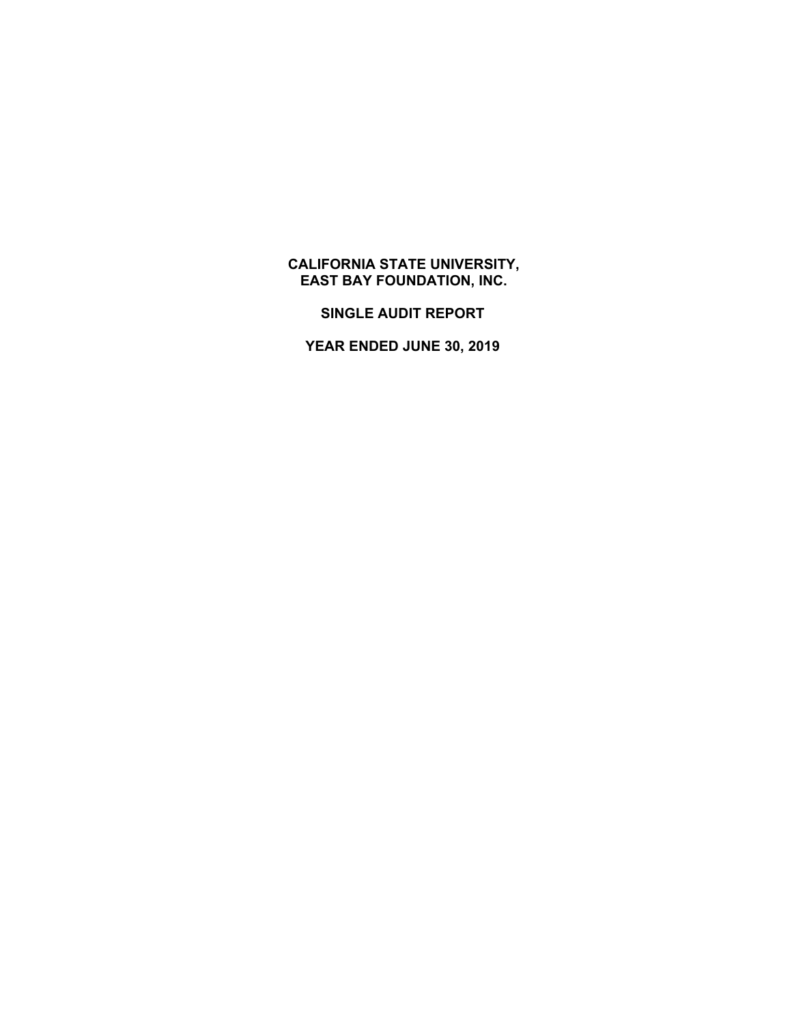## **CALIFORNIA STATE UNIVERSITY, EAST BAY FOUNDATION, INC.**

**SINGLE AUDIT REPORT** 

**YEAR ENDED JUNE 30, 2019**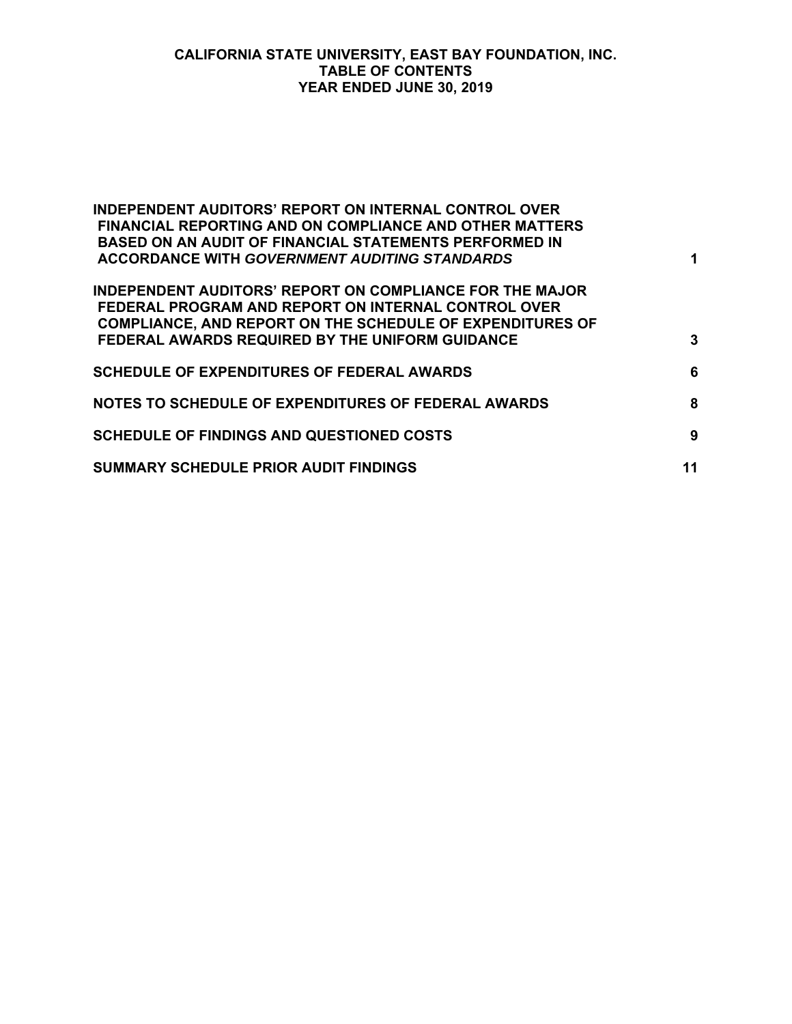#### **CALIFORNIA STATE UNIVERSITY, EAST BAY FOUNDATION, INC. TABLE OF CONTENTS YEAR ENDED JUNE 30, 2019**

| <b>INDEPENDENT AUDITORS' REPORT ON INTERNAL CONTROL OVER</b><br><b>FINANCIAL REPORTING AND ON COMPLIANCE AND OTHER MATTERS</b><br><b>BASED ON AN AUDIT OF FINANCIAL STATEMENTS PERFORMED IN</b><br><b>ACCORDANCE WITH GOVERNMENT AUDITING STANDARDS</b> | 1  |
|---------------------------------------------------------------------------------------------------------------------------------------------------------------------------------------------------------------------------------------------------------|----|
| <b>INDEPENDENT AUDITORS' REPORT ON COMPLIANCE FOR THE MAJOR</b><br>FEDERAL PROGRAM AND REPORT ON INTERNAL CONTROL OVER<br><b>COMPLIANCE, AND REPORT ON THE SCHEDULE OF EXPENDITURES OF</b><br>FEDERAL AWARDS REQUIRED BY THE UNIFORM GUIDANCE           | 3  |
| <b>SCHEDULE OF EXPENDITURES OF FEDERAL AWARDS</b>                                                                                                                                                                                                       | 6  |
| NOTES TO SCHEDULE OF EXPENDITURES OF FEDERAL AWARDS                                                                                                                                                                                                     | 8  |
| <b>SCHEDULE OF FINDINGS AND QUESTIONED COSTS</b>                                                                                                                                                                                                        | 9  |
| <b>SUMMARY SCHEDULE PRIOR AUDIT FINDINGS</b>                                                                                                                                                                                                            | 11 |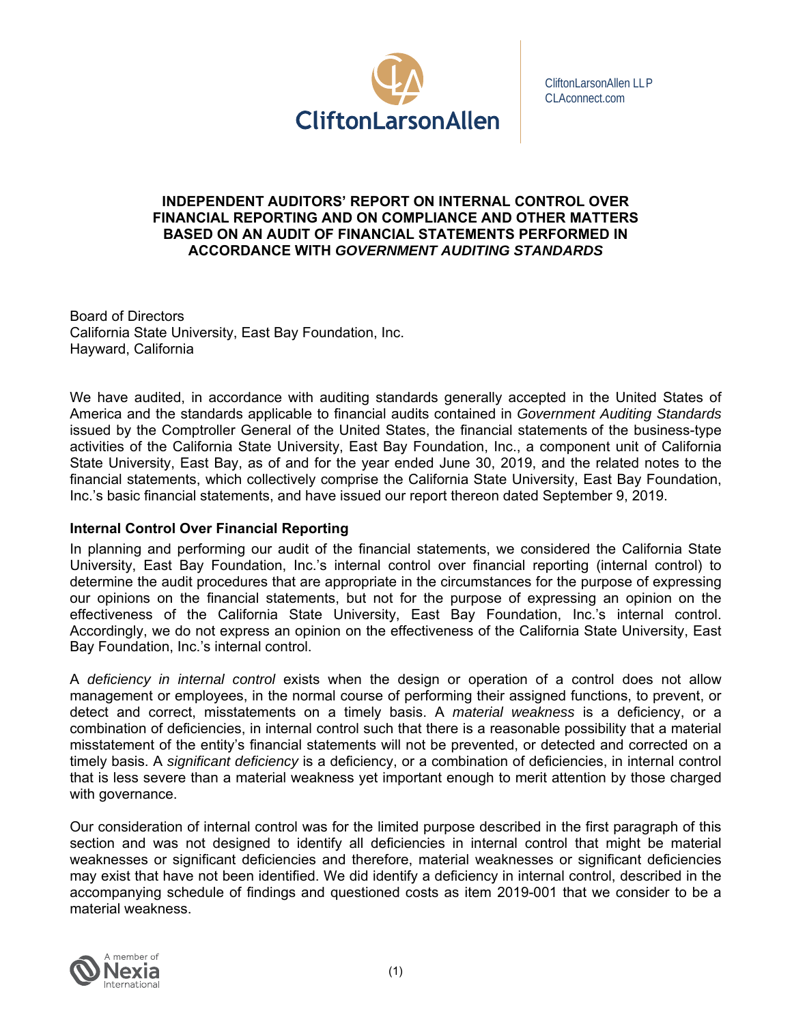

CliftonLarsonAllen LLP CLAconnect.com

#### **INDEPENDENT AUDITORS' REPORT ON INTERNAL CONTROL OVER FINANCIAL REPORTING AND ON COMPLIANCE AND OTHER MATTERS BASED ON AN AUDIT OF FINANCIAL STATEMENTS PERFORMED IN ACCORDANCE WITH** *GOVERNMENT AUDITING STANDARDS*

Board of Directors California State University, East Bay Foundation, Inc. Hayward, California

We have audited, in accordance with auditing standards generally accepted in the United States of America and the standards applicable to financial audits contained in *Government Auditing Standards*  issued by the Comptroller General of the United States, the financial statements of the business-type activities of the California State University, East Bay Foundation, Inc., a component unit of California State University, East Bay, as of and for the year ended June 30, 2019, and the related notes to the financial statements, which collectively comprise the California State University, East Bay Foundation, Inc.'s basic financial statements, and have issued our report thereon dated September 9, 2019.

## **Internal Control Over Financial Reporting**

In planning and performing our audit of the financial statements, we considered the California State University, East Bay Foundation, Inc.'s internal control over financial reporting (internal control) to determine the audit procedures that are appropriate in the circumstances for the purpose of expressing our opinions on the financial statements, but not for the purpose of expressing an opinion on the effectiveness of the California State University, East Bay Foundation, Inc.'s internal control. Accordingly, we do not express an opinion on the effectiveness of the California State University, East Bay Foundation, Inc.'s internal control.

A *deficiency in internal control* exists when the design or operation of a control does not allow management or employees, in the normal course of performing their assigned functions, to prevent, or detect and correct, misstatements on a timely basis. A *material weakness* is a deficiency, or a combination of deficiencies, in internal control such that there is a reasonable possibility that a material misstatement of the entity's financial statements will not be prevented, or detected and corrected on a timely basis. A *significant deficiency* is a deficiency, or a combination of deficiencies, in internal control that is less severe than a material weakness yet important enough to merit attention by those charged with governance.

Our consideration of internal control was for the limited purpose described in the first paragraph of this section and was not designed to identify all deficiencies in internal control that might be material weaknesses or significant deficiencies and therefore, material weaknesses or significant deficiencies may exist that have not been identified. We did identify a deficiency in internal control, described in the accompanying schedule of findings and questioned costs as item 2019-001 that we consider to be a material weakness.

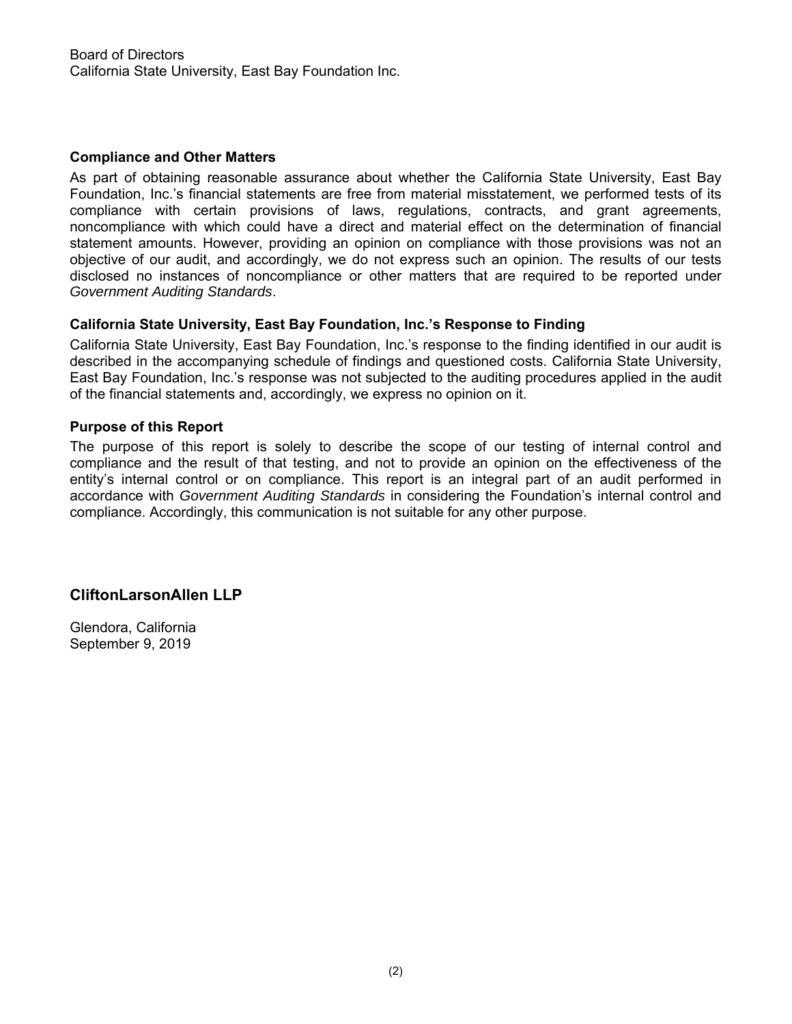#### **Compliance and Other Matters**

As part of obtaining reasonable assurance about whether the California State University, East Bay Foundation, Inc.'s financial statements are free from material misstatement, we performed tests of its compliance with certain provisions of laws, regulations, contracts, and grant agreements, noncompliance with which could have a direct and material effect on the determination of financial statement amounts. However, providing an opinion on compliance with those provisions was not an objective of our audit, and accordingly, we do not express such an opinion. The results of our tests disclosed no instances of noncompliance or other matters that are required to be reported under *Government Auditing Standards*.

#### **California State University, East Bay Foundation, Inc.'s Response to Finding**

California State University, East Bay Foundation, Inc.'s response to the finding identified in our audit is described in the accompanying schedule of findings and questioned costs. California State University, East Bay Foundation, Inc.'s response was not subjected to the auditing procedures applied in the audit of the financial statements and, accordingly, we express no opinion on it.

#### **Purpose of this Report**

The purpose of this report is solely to describe the scope of our testing of internal control and compliance and the result of that testing, and not to provide an opinion on the effectiveness of the entity's internal control or on compliance. This report is an integral part of an audit performed in accordance with *Government Auditing Standards* in considering the Foundation's internal control and compliance. Accordingly, this communication is not suitable for any other purpose.

## **CliftonLarsonAllen LLP**

Glendora, California September 9, 2019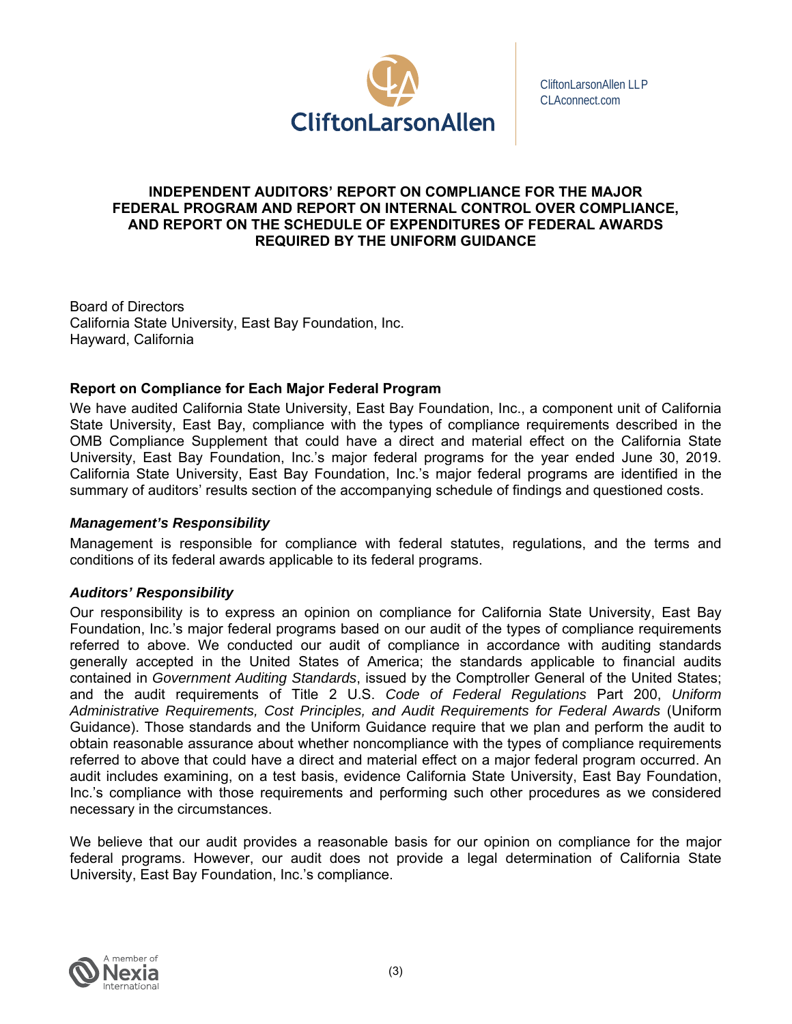

CliftonLarsonAllen LLP CLAconnect.com

## **INDEPENDENT AUDITORS' REPORT ON COMPLIANCE FOR THE MAJOR FEDERAL PROGRAM AND REPORT ON INTERNAL CONTROL OVER COMPLIANCE, AND REPORT ON THE SCHEDULE OF EXPENDITURES OF FEDERAL AWARDS REQUIRED BY THE UNIFORM GUIDANCE**

Board of Directors California State University, East Bay Foundation, Inc. Hayward, California

## **Report on Compliance for Each Major Federal Program**

We have audited California State University, East Bay Foundation, Inc., a component unit of California State University, East Bay, compliance with the types of compliance requirements described in the OMB Compliance Supplement that could have a direct and material effect on the California State University, East Bay Foundation, Inc.'s major federal programs for the year ended June 30, 2019. California State University, East Bay Foundation, Inc.'s major federal programs are identified in the summary of auditors' results section of the accompanying schedule of findings and questioned costs.

## *Management's Responsibility*

Management is responsible for compliance with federal statutes, regulations, and the terms and conditions of its federal awards applicable to its federal programs.

#### *Auditors' Responsibility*

Our responsibility is to express an opinion on compliance for California State University, East Bay Foundation, Inc.'s major federal programs based on our audit of the types of compliance requirements referred to above. We conducted our audit of compliance in accordance with auditing standards generally accepted in the United States of America; the standards applicable to financial audits contained in *Government Auditing Standards*, issued by the Comptroller General of the United States; and the audit requirements of Title 2 U.S. *Code of Federal Regulations* Part 200, *Uniform Administrative Requirements, Cost Principles, and Audit Requirements for Federal Awards* (Uniform Guidance). Those standards and the Uniform Guidance require that we plan and perform the audit to obtain reasonable assurance about whether noncompliance with the types of compliance requirements referred to above that could have a direct and material effect on a major federal program occurred. An audit includes examining, on a test basis, evidence California State University, East Bay Foundation, Inc.'s compliance with those requirements and performing such other procedures as we considered necessary in the circumstances.

We believe that our audit provides a reasonable basis for our opinion on compliance for the major federal programs. However, our audit does not provide a legal determination of California State University, East Bay Foundation, Inc.'s compliance.

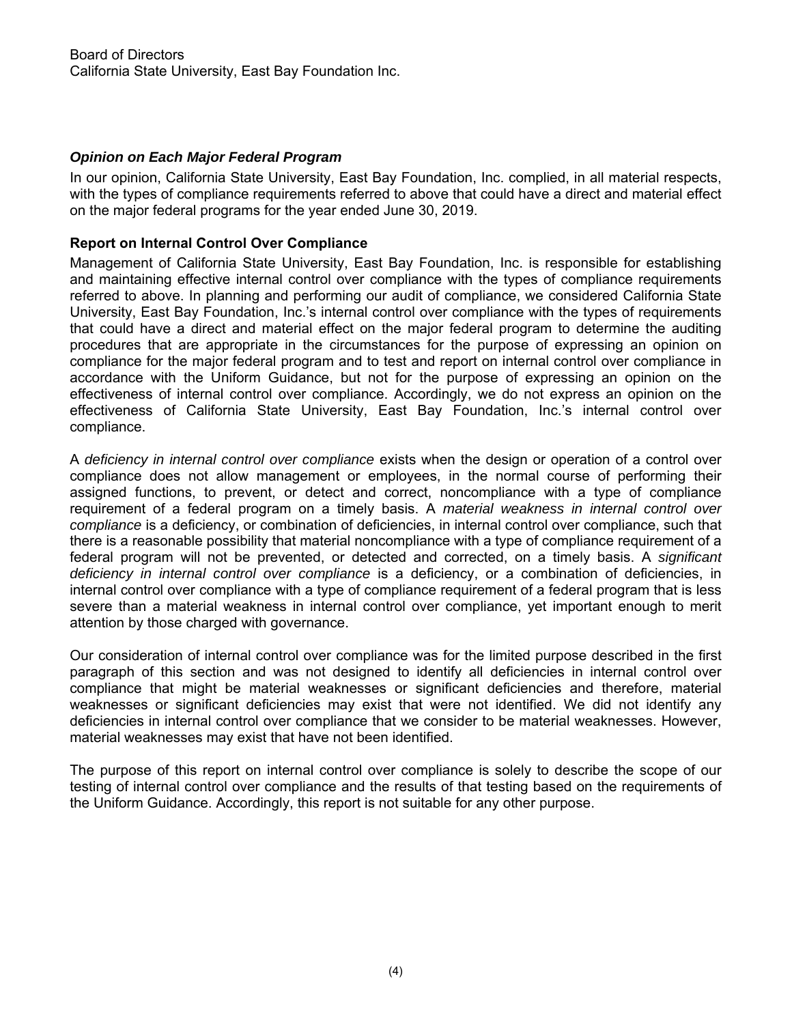## *Opinion on Each Major Federal Program*

In our opinion, California State University, East Bay Foundation, Inc. complied, in all material respects, with the types of compliance requirements referred to above that could have a direct and material effect on the major federal programs for the year ended June 30, 2019.

#### **Report on Internal Control Over Compliance**

Management of California State University, East Bay Foundation, Inc. is responsible for establishing and maintaining effective internal control over compliance with the types of compliance requirements referred to above. In planning and performing our audit of compliance, we considered California State University, East Bay Foundation, Inc.'s internal control over compliance with the types of requirements that could have a direct and material effect on the major federal program to determine the auditing procedures that are appropriate in the circumstances for the purpose of expressing an opinion on compliance for the major federal program and to test and report on internal control over compliance in accordance with the Uniform Guidance, but not for the purpose of expressing an opinion on the effectiveness of internal control over compliance. Accordingly, we do not express an opinion on the effectiveness of California State University, East Bay Foundation, Inc.'s internal control over compliance.

A *deficiency in internal control over compliance* exists when the design or operation of a control over compliance does not allow management or employees, in the normal course of performing their assigned functions, to prevent, or detect and correct, noncompliance with a type of compliance requirement of a federal program on a timely basis. A *material weakness in internal control over compliance* is a deficiency, or combination of deficiencies, in internal control over compliance, such that there is a reasonable possibility that material noncompliance with a type of compliance requirement of a federal program will not be prevented, or detected and corrected, on a timely basis. A *significant deficiency in internal control over compliance* is a deficiency, or a combination of deficiencies, in internal control over compliance with a type of compliance requirement of a federal program that is less severe than a material weakness in internal control over compliance, yet important enough to merit attention by those charged with governance.

Our consideration of internal control over compliance was for the limited purpose described in the first paragraph of this section and was not designed to identify all deficiencies in internal control over compliance that might be material weaknesses or significant deficiencies and therefore, material weaknesses or significant deficiencies may exist that were not identified. We did not identify any deficiencies in internal control over compliance that we consider to be material weaknesses. However, material weaknesses may exist that have not been identified.

The purpose of this report on internal control over compliance is solely to describe the scope of our testing of internal control over compliance and the results of that testing based on the requirements of the Uniform Guidance. Accordingly, this report is not suitable for any other purpose.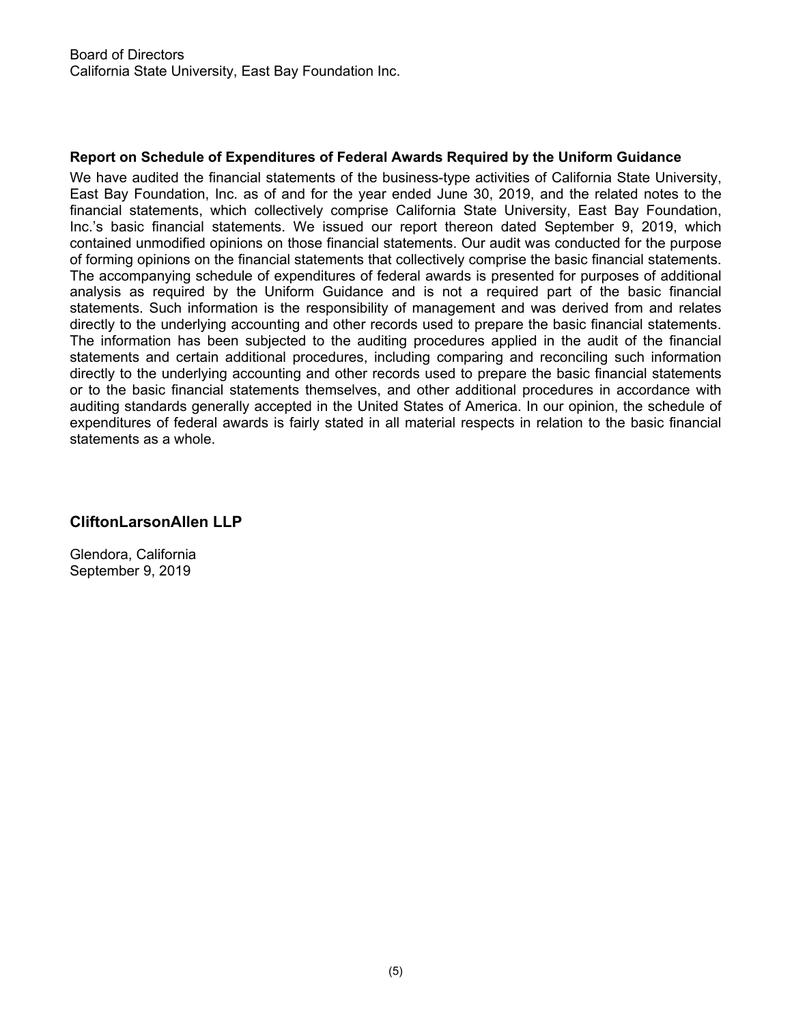## **Report on Schedule of Expenditures of Federal Awards Required by the Uniform Guidance**

We have audited the financial statements of the business-type activities of California State University, East Bay Foundation, Inc. as of and for the year ended June 30, 2019, and the related notes to the financial statements, which collectively comprise California State University, East Bay Foundation, Inc.'s basic financial statements. We issued our report thereon dated September 9, 2019, which contained unmodified opinions on those financial statements. Our audit was conducted for the purpose of forming opinions on the financial statements that collectively comprise the basic financial statements. The accompanying schedule of expenditures of federal awards is presented for purposes of additional analysis as required by the Uniform Guidance and is not a required part of the basic financial statements. Such information is the responsibility of management and was derived from and relates directly to the underlying accounting and other records used to prepare the basic financial statements. The information has been subjected to the auditing procedures applied in the audit of the financial statements and certain additional procedures, including comparing and reconciling such information directly to the underlying accounting and other records used to prepare the basic financial statements or to the basic financial statements themselves, and other additional procedures in accordance with auditing standards generally accepted in the United States of America. In our opinion, the schedule of expenditures of federal awards is fairly stated in all material respects in relation to the basic financial statements as a whole.

# **CliftonLarsonAllen LLP**

Glendora, California September 9, 2019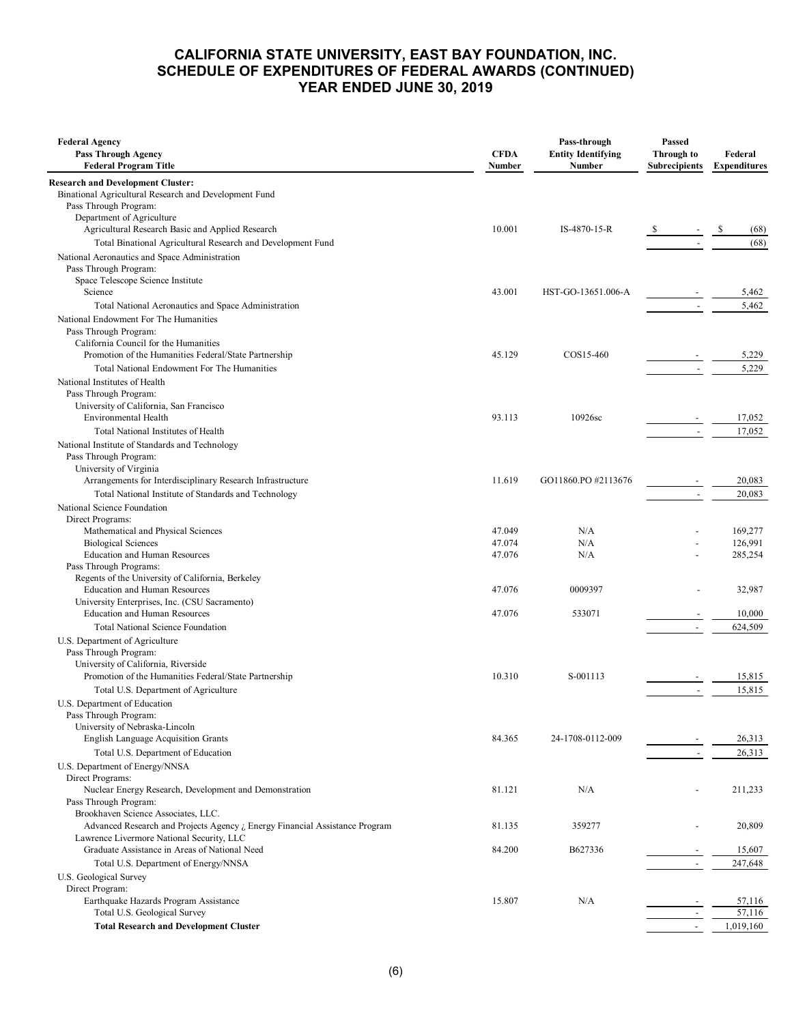#### **CALIFORNIA STATE UNIVERSITY, EAST BAY FOUNDATION, INC. SCHEDULE OF EXPENDITURES OF FEDERAL AWARDS (CONTINUED) YEAR ENDED JUNE 30, 2019**

| <b>Federal Agency</b><br><b>Pass Through Agency</b><br><b>Federal Program Title</b>        | <b>CFDA</b><br>Number | Pass-through<br><b>Entity Identifying</b><br>Number | Passed<br><b>Through to</b><br><b>Subrecipients</b> | Federal<br><b>Expenditures</b> |
|--------------------------------------------------------------------------------------------|-----------------------|-----------------------------------------------------|-----------------------------------------------------|--------------------------------|
| <b>Research and Development Cluster:</b>                                                   |                       |                                                     |                                                     |                                |
| Binational Agricultural Research and Development Fund                                      |                       |                                                     |                                                     |                                |
| Pass Through Program:                                                                      |                       |                                                     |                                                     |                                |
| Department of Agriculture<br>Agricultural Research Basic and Applied Research              | 10.001                | IS-4870-15-R                                        |                                                     | (68)                           |
| Total Binational Agricultural Research and Development Fund                                |                       |                                                     |                                                     | (68)                           |
| National Aeronautics and Space Administration                                              |                       |                                                     |                                                     |                                |
| Pass Through Program:                                                                      |                       |                                                     |                                                     |                                |
| Space Telescope Science Institute                                                          |                       |                                                     |                                                     |                                |
| Science                                                                                    | 43.001                | HST-GO-13651.006-A                                  |                                                     | 5,462                          |
| Total National Aeronautics and Space Administration                                        |                       |                                                     | $\overline{\phantom{a}}$                            | 5,462                          |
| National Endowment For The Humanities                                                      |                       |                                                     |                                                     |                                |
| Pass Through Program:<br>California Council for the Humanities                             |                       |                                                     |                                                     |                                |
| Promotion of the Humanities Federal/State Partnership                                      | 45.129                | COS15-460                                           |                                                     | 5,229                          |
| Total National Endowment For The Humanities                                                |                       |                                                     | $\overline{a}$                                      | 5,229                          |
| National Institutes of Health                                                              |                       |                                                     |                                                     |                                |
| Pass Through Program:                                                                      |                       |                                                     |                                                     |                                |
| University of California, San Francisco                                                    |                       |                                                     |                                                     |                                |
| Environmental Health                                                                       | 93.113                | 10926sc                                             |                                                     | 17,052                         |
| Total National Institutes of Health                                                        |                       |                                                     | $\overline{\phantom{a}}$                            | 17,052                         |
| National Institute of Standards and Technology                                             |                       |                                                     |                                                     |                                |
| Pass Through Program:                                                                      |                       |                                                     |                                                     |                                |
| University of Virginia<br>Arrangements for Interdisciplinary Research Infrastructure       | 11.619                | GO11860.PO #2113676                                 |                                                     | 20,083                         |
|                                                                                            |                       |                                                     |                                                     |                                |
| Total National Institute of Standards and Technology<br>National Science Foundation        |                       |                                                     | $\overline{\phantom{a}}$                            | 20,083                         |
| Direct Programs:                                                                           |                       |                                                     |                                                     |                                |
| Mathematical and Physical Sciences                                                         | 47.049                | N/A                                                 |                                                     | 169,277                        |
| <b>Biological Sciences</b>                                                                 | 47.074                | N/A                                                 |                                                     | 126,991                        |
| <b>Education and Human Resources</b>                                                       | 47.076                | N/A                                                 |                                                     | 285,254                        |
| Pass Through Programs:                                                                     |                       |                                                     |                                                     |                                |
| Regents of the University of California, Berkeley                                          | 47.076                | 0009397                                             |                                                     | 32,987                         |
| Education and Human Resources<br>University Enterprises, Inc. (CSU Sacramento)             |                       |                                                     |                                                     |                                |
| <b>Education and Human Resources</b>                                                       | 47.076                | 533071                                              |                                                     | 10,000                         |
| <b>Total National Science Foundation</b>                                                   |                       |                                                     |                                                     | 624,509                        |
| U.S. Department of Agriculture                                                             |                       |                                                     |                                                     |                                |
| Pass Through Program:                                                                      |                       |                                                     |                                                     |                                |
| University of California, Riverside                                                        |                       |                                                     |                                                     |                                |
| Promotion of the Humanities Federal/State Partnership                                      | 10.310                | S-001113                                            |                                                     | 15,815                         |
| Total U.S. Department of Agriculture                                                       |                       |                                                     |                                                     | 15,815                         |
| U.S. Department of Education                                                               |                       |                                                     |                                                     |                                |
| Pass Through Program:<br>University of Nebraska-Lincoln                                    |                       |                                                     |                                                     |                                |
| <b>English Language Acquisition Grants</b>                                                 | 84.365                | 24-1708-0112-009                                    |                                                     | 26,313                         |
| Total U.S. Department of Education                                                         |                       |                                                     |                                                     | 26,313                         |
| U.S. Department of Energy/NNSA                                                             |                       |                                                     |                                                     |                                |
| Direct Programs:                                                                           |                       |                                                     |                                                     |                                |
| Nuclear Energy Research, Development and Demonstration                                     | 81.121                | N/A                                                 |                                                     | 211,233                        |
| Pass Through Program:                                                                      |                       |                                                     |                                                     |                                |
| Brookhaven Science Associates, LLC.                                                        |                       |                                                     |                                                     |                                |
| Advanced Research and Projects Agency ¿ Energy Financial Assistance Program                | 81.135                | 359277                                              |                                                     | 20,809                         |
| Lawrence Livermore National Security, LLC<br>Graduate Assistance in Areas of National Need | 84.200                | B627336                                             |                                                     |                                |
|                                                                                            |                       |                                                     |                                                     | 15,607<br>247,648              |
| Total U.S. Department of Energy/NNSA                                                       |                       |                                                     | $\overline{\phantom{a}}$                            |                                |
| U.S. Geological Survey<br>Direct Program:                                                  |                       |                                                     |                                                     |                                |
| Earthquake Hazards Program Assistance                                                      | 15.807                | N/A                                                 |                                                     | 57,116                         |
| Total U.S. Geological Survey                                                               |                       |                                                     |                                                     | 57,116                         |
| <b>Total Research and Development Cluster</b>                                              |                       |                                                     | $\bar{a}$                                           | 1,019,160                      |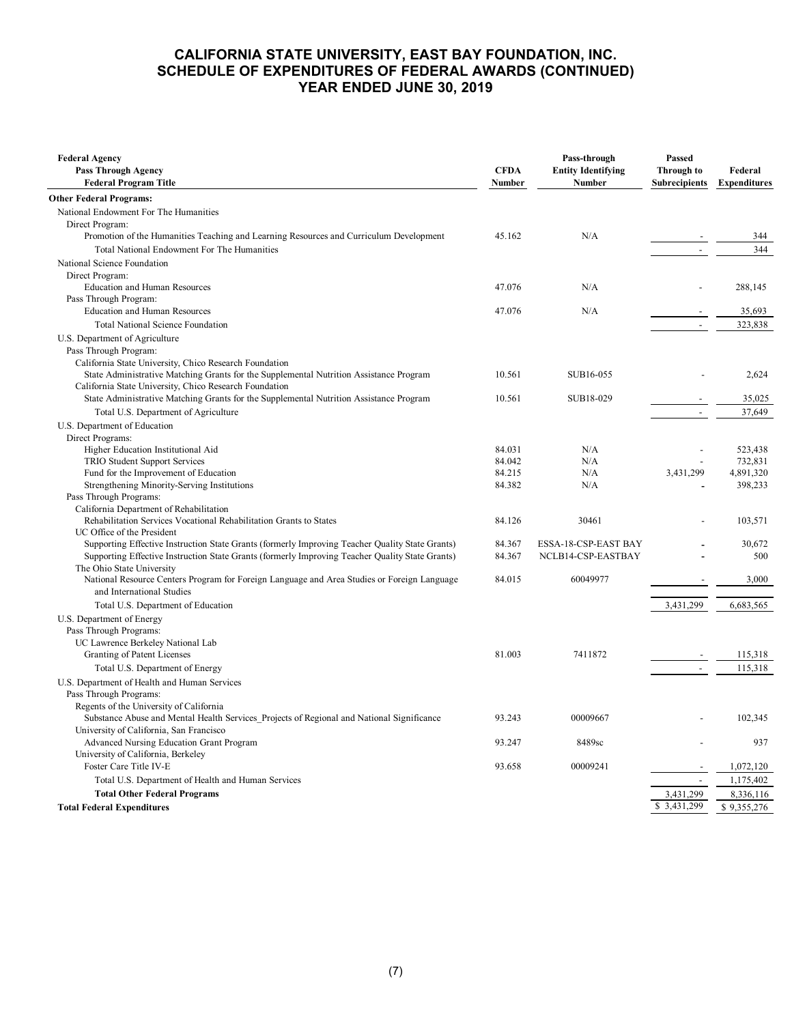#### **CALIFORNIA STATE UNIVERSITY, EAST BAY FOUNDATION, INC. SCHEDULE OF EXPENDITURES OF FEDERAL AWARDS (CONTINUED) YEAR ENDED JUNE 30, 2019**

| <b>Federal Agency</b><br><b>Pass Through Agency</b><br><b>Federal Program Title</b>                           | <b>CFDA</b><br>Number | Pass-through<br><b>Entity Identifying</b><br>Number | Passed<br><b>Through to</b><br><b>Subrecipients</b> | Federal<br><b>Expenditures</b> |
|---------------------------------------------------------------------------------------------------------------|-----------------------|-----------------------------------------------------|-----------------------------------------------------|--------------------------------|
| <b>Other Federal Programs:</b>                                                                                |                       |                                                     |                                                     |                                |
| National Endowment For The Humanities                                                                         |                       |                                                     |                                                     |                                |
| Direct Program:                                                                                               |                       |                                                     |                                                     |                                |
| Promotion of the Humanities Teaching and Learning Resources and Curriculum Development                        | 45.162                | N/A                                                 |                                                     | 344                            |
| Total National Endowment For The Humanities                                                                   |                       |                                                     | $\sim$                                              | 344                            |
| National Science Foundation                                                                                   |                       |                                                     |                                                     |                                |
| Direct Program:                                                                                               |                       |                                                     |                                                     |                                |
| <b>Education and Human Resources</b>                                                                          | 47.076                | N/A                                                 |                                                     | 288,145                        |
| Pass Through Program:                                                                                         |                       |                                                     |                                                     |                                |
| <b>Education and Human Resources</b>                                                                          | 47.076                | N/A                                                 |                                                     | 35,693                         |
| <b>Total National Science Foundation</b>                                                                      |                       |                                                     | $\mathbb{L}$                                        | 323,838                        |
| U.S. Department of Agriculture                                                                                |                       |                                                     |                                                     |                                |
| Pass Through Program:                                                                                         |                       |                                                     |                                                     |                                |
| California State University, Chico Research Foundation                                                        |                       |                                                     |                                                     |                                |
| State Administrative Matching Grants for the Supplemental Nutrition Assistance Program                        | 10.561                | SUB16-055                                           |                                                     | 2,624                          |
| California State University, Chico Research Foundation                                                        |                       |                                                     |                                                     |                                |
| State Administrative Matching Grants for the Supplemental Nutrition Assistance Program                        | 10.561                | SUB18-029                                           |                                                     | 35,025                         |
| Total U.S. Department of Agriculture                                                                          |                       |                                                     | $\overline{\phantom{a}}$                            | 37,649                         |
| U.S. Department of Education                                                                                  |                       |                                                     |                                                     |                                |
| Direct Programs:                                                                                              |                       |                                                     |                                                     |                                |
| Higher Education Institutional Aid                                                                            | 84.031                | N/A                                                 |                                                     | 523,438                        |
| TRIO Student Support Services                                                                                 | 84.042                | N/A                                                 |                                                     | 732,831                        |
| Fund for the Improvement of Education                                                                         | 84.215                | N/A                                                 | 3,431,299                                           | 4,891,320                      |
| Strengthening Minority-Serving Institutions                                                                   | 84.382                | N/A                                                 |                                                     | 398,233                        |
| Pass Through Programs:                                                                                        |                       |                                                     |                                                     |                                |
| California Department of Rehabilitation<br>Rehabilitation Services Vocational Rehabilitation Grants to States | 84.126                | 30461                                               |                                                     | 103,571                        |
| UC Office of the President                                                                                    |                       |                                                     |                                                     |                                |
| Supporting Effective Instruction State Grants (formerly Improving Teacher Quality State Grants)               | 84.367                | ESSA-18-CSP-EAST BAY                                |                                                     | 30.672                         |
| Supporting Effective Instruction State Grants (formerly Improving Teacher Quality State Grants)               | 84.367                | NCLB14-CSP-EASTBAY                                  |                                                     | 500                            |
| The Ohio State University                                                                                     |                       |                                                     |                                                     |                                |
| National Resource Centers Program for Foreign Language and Area Studies or Foreign Language                   | 84.015                | 60049977                                            |                                                     | 3,000                          |
| and International Studies                                                                                     |                       |                                                     |                                                     |                                |
| Total U.S. Department of Education                                                                            |                       |                                                     | 3,431,299                                           | 6,683,565                      |
| U.S. Department of Energy                                                                                     |                       |                                                     |                                                     |                                |
| Pass Through Programs:                                                                                        |                       |                                                     |                                                     |                                |
| UC Lawrence Berkeley National Lab                                                                             |                       |                                                     |                                                     |                                |
| Granting of Patent Licenses                                                                                   | 81.003                | 7411872                                             |                                                     | 115,318                        |
| Total U.S. Department of Energy                                                                               |                       |                                                     | $\sim$                                              | 115,318                        |
| U.S. Department of Health and Human Services                                                                  |                       |                                                     |                                                     |                                |
| Pass Through Programs:                                                                                        |                       |                                                     |                                                     |                                |
| Regents of the University of California                                                                       |                       |                                                     |                                                     |                                |
| Substance Abuse and Mental Health Services Projects of Regional and National Significance                     | 93.243                | 00009667                                            |                                                     | 102,345                        |
| University of California, San Francisco                                                                       |                       |                                                     |                                                     |                                |
| Advanced Nursing Education Grant Program                                                                      | 93.247                | 8489sc                                              |                                                     | 937                            |
| University of California, Berkeley                                                                            | 93.658                | 00009241                                            |                                                     |                                |
| Foster Care Title IV-E                                                                                        |                       |                                                     |                                                     | 1,072,120                      |
| Total U.S. Department of Health and Human Services                                                            |                       |                                                     |                                                     | 1,175,402                      |
| <b>Total Other Federal Programs</b>                                                                           |                       |                                                     | 3,431,299                                           | 8,336,116                      |
| <b>Total Federal Expenditures</b>                                                                             |                       |                                                     | \$ 3,431,299                                        | \$9,355,276                    |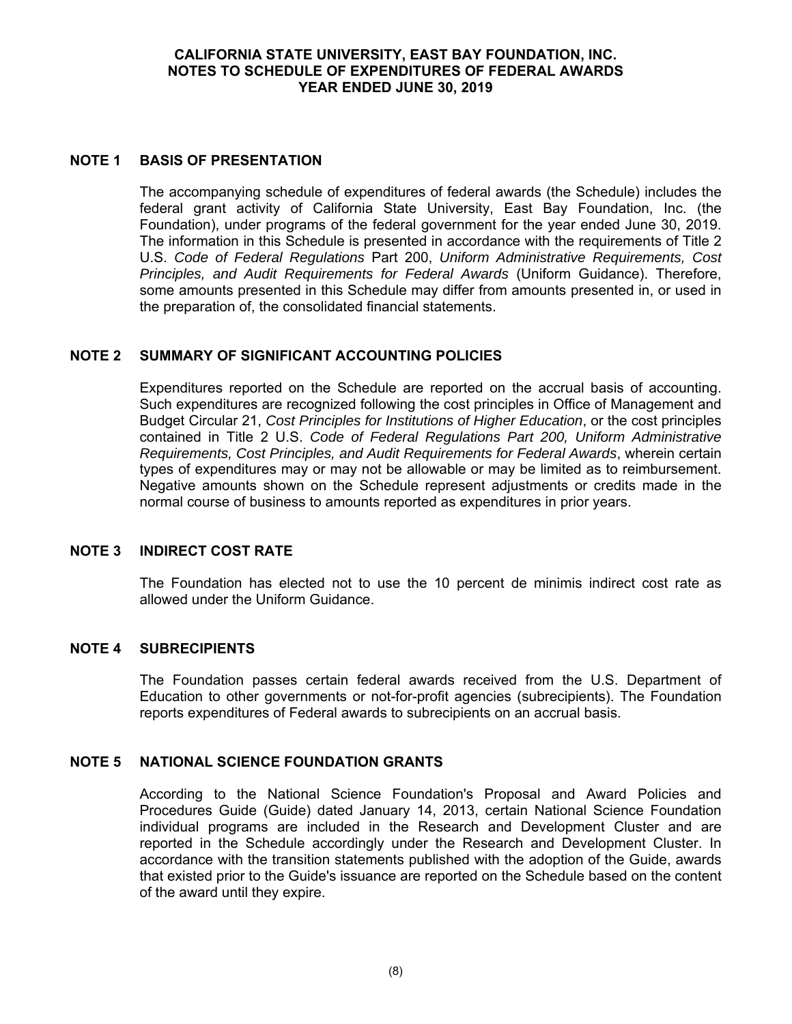#### **CALIFORNIA STATE UNIVERSITY, EAST BAY FOUNDATION, INC. NOTES TO SCHEDULE OF EXPENDITURES OF FEDERAL AWARDS YEAR ENDED JUNE 30, 2019**

#### **NOTE 1 BASIS OF PRESENTATION**

The accompanying schedule of expenditures of federal awards (the Schedule) includes the federal grant activity of California State University, East Bay Foundation, Inc. (the Foundation), under programs of the federal government for the year ended June 30, 2019. The information in this Schedule is presented in accordance with the requirements of Title 2 U.S. *Code of Federal Regulations* Part 200, *Uniform Administrative Requirements, Cost Principles, and Audit Requirements for Federal Awards* (Uniform Guidance). Therefore, some amounts presented in this Schedule may differ from amounts presented in, or used in the preparation of, the consolidated financial statements.

## **NOTE 2 SUMMARY OF SIGNIFICANT ACCOUNTING POLICIES**

Expenditures reported on the Schedule are reported on the accrual basis of accounting. Such expenditures are recognized following the cost principles in Office of Management and Budget Circular 21, *Cost Principles for Institutions of Higher Education*, or the cost principles contained in Title 2 U.S. *Code of Federal Regulations Part 200, Uniform Administrative Requirements, Cost Principles, and Audit Requirements for Federal Awards*, wherein certain types of expenditures may or may not be allowable or may be limited as to reimbursement. Negative amounts shown on the Schedule represent adjustments or credits made in the normal course of business to amounts reported as expenditures in prior years.

#### **NOTE 3 INDIRECT COST RATE**

The Foundation has elected not to use the 10 percent de minimis indirect cost rate as allowed under the Uniform Guidance.

#### **NOTE 4 SUBRECIPIENTS**

The Foundation passes certain federal awards received from the U.S. Department of Education to other governments or not-for-profit agencies (subrecipients). The Foundation reports expenditures of Federal awards to subrecipients on an accrual basis.

#### **NOTE 5 NATIONAL SCIENCE FOUNDATION GRANTS**

According to the National Science Foundation's Proposal and Award Policies and Procedures Guide (Guide) dated January 14, 2013, certain National Science Foundation individual programs are included in the Research and Development Cluster and are reported in the Schedule accordingly under the Research and Development Cluster. In accordance with the transition statements published with the adoption of the Guide, awards that existed prior to the Guide's issuance are reported on the Schedule based on the content of the award until they expire.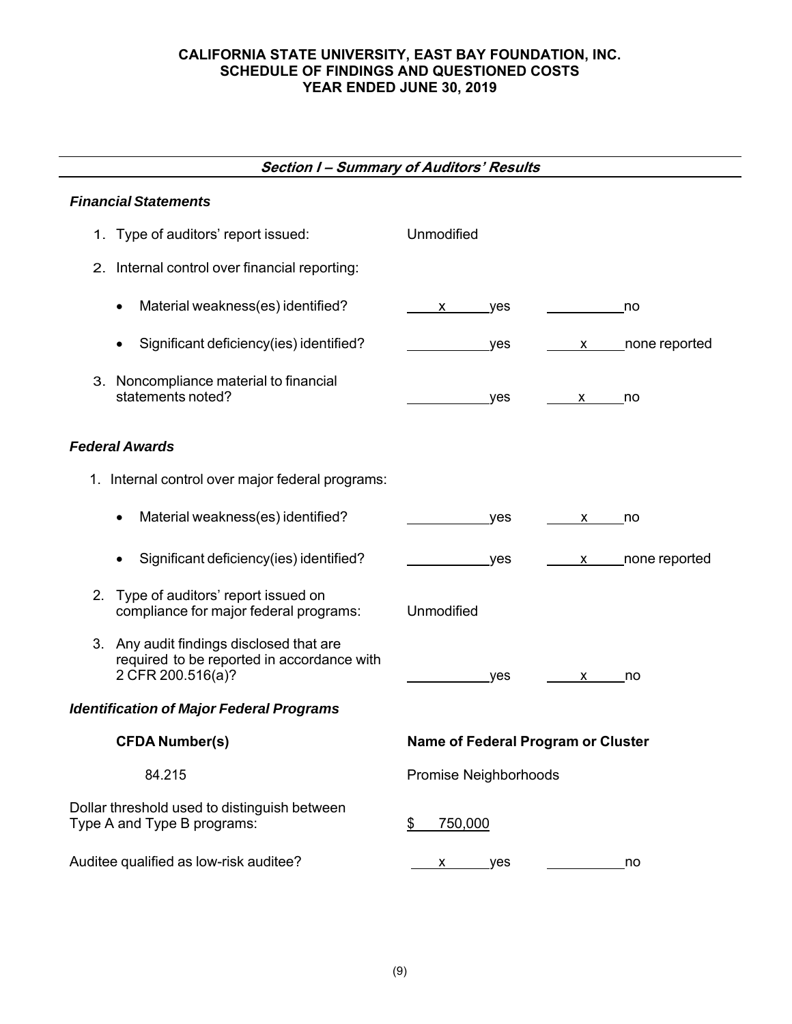#### **CALIFORNIA STATE UNIVERSITY, EAST BAY FOUNDATION, INC. SCHEDULE OF FINDINGS AND QUESTIONED COSTS YEAR ENDED JUNE 30, 2019**

# **Section I – Summary of Auditors' Results**

## *Financial Statements*

| 1. Type of auditors' report issued:                                                                         | Unmodified                             |
|-------------------------------------------------------------------------------------------------------------|----------------------------------------|
| 2. Internal control over financial reporting:                                                               |                                        |
| Material weakness(es) identified?<br>$\bullet$                                                              | yes<br>no<br>X                         |
| Significant deficiency(ies) identified?                                                                     | none reported<br>yes<br>X <sub>2</sub> |
| 3. Noncompliance material to financial<br>statements noted?                                                 | yes<br>x no                            |
| <b>Federal Awards</b>                                                                                       |                                        |
| 1. Internal control over major federal programs:                                                            |                                        |
| Material weakness(es) identified?                                                                           | <b>ves</b><br>X<br>no                  |
| Significant deficiency(ies) identified?<br>$\bullet$                                                        | x _____ none reported<br>yes           |
| Type of auditors' report issued on<br>2.<br>compliance for major federal programs:                          | <b>Unmodified</b>                      |
| 3. Any audit findings disclosed that are<br>required to be reported in accordance with<br>2 CFR 200.516(a)? | yes<br>X —<br>no                       |
| <b>Identification of Major Federal Programs</b>                                                             |                                        |
| <b>CFDA Number(s)</b>                                                                                       | Name of Federal Program or Cluster     |
| 84.215                                                                                                      | Promise Neighborhoods                  |
| Dollar threshold used to distinguish between<br>Type A and Type B programs:                                 | \$<br>750,000                          |
| Auditee qualified as low-risk auditee?                                                                      | x yes<br>no                            |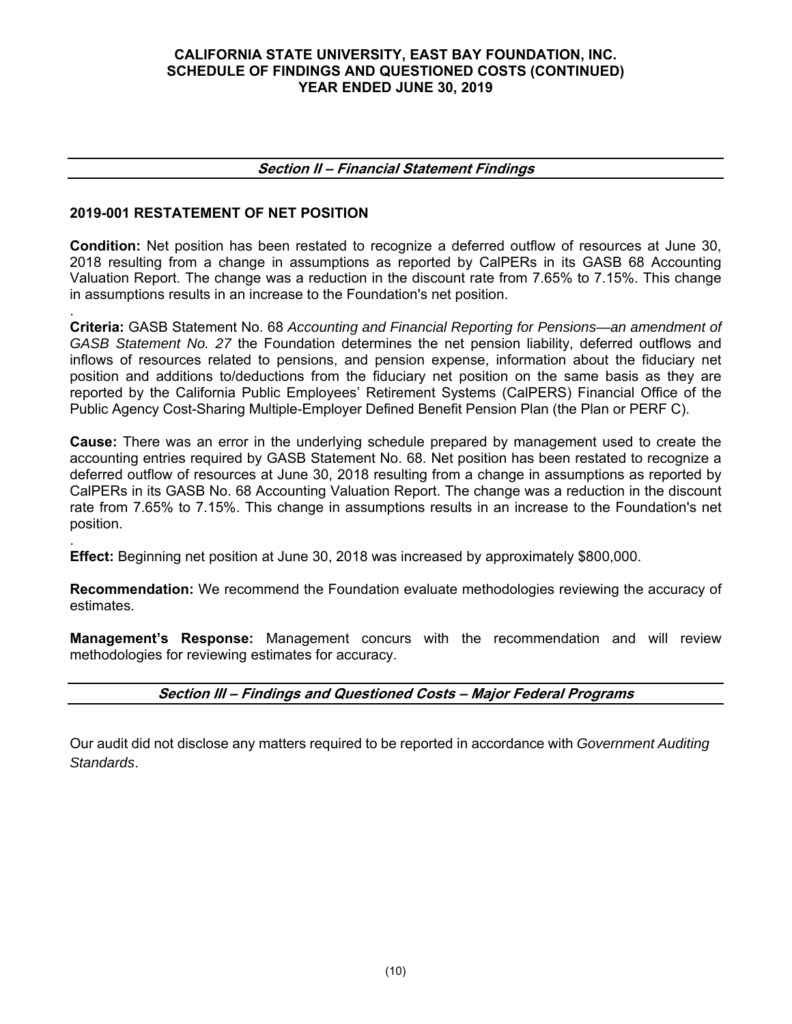#### **CALIFORNIA STATE UNIVERSITY, EAST BAY FOUNDATION, INC. SCHEDULE OF FINDINGS AND QUESTIONED COSTS (CONTINUED) YEAR ENDED JUNE 30, 2019**

#### **Section II – Financial Statement Findings**

## **2019-001 RESTATEMENT OF NET POSITION**

**Condition:** Net position has been restated to recognize a deferred outflow of resources at June 30, 2018 resulting from a change in assumptions as reported by CalPERs in its GASB 68 Accounting Valuation Report. The change was a reduction in the discount rate from 7.65% to 7.15%. This change in assumptions results in an increase to the Foundation's net position.

. **Criteria:** GASB Statement No. 68 *Accounting and Financial Reporting for Pensions—an amendment of GASB Statement No. 27* the Foundation determines the net pension liability, deferred outflows and inflows of resources related to pensions, and pension expense, information about the fiduciary net position and additions to/deductions from the fiduciary net position on the same basis as they are reported by the California Public Employees' Retirement Systems (CalPERS) Financial Office of the Public Agency Cost-Sharing Multiple-Employer Defined Benefit Pension Plan (the Plan or PERF C).

**Cause:** There was an error in the underlying schedule prepared by management used to create the accounting entries required by GASB Statement No. 68. Net position has been restated to recognize a deferred outflow of resources at June 30, 2018 resulting from a change in assumptions as reported by CalPERs in its GASB No. 68 Accounting Valuation Report. The change was a reduction in the discount rate from 7.65% to 7.15%. This change in assumptions results in an increase to the Foundation's net position.

. **Effect:** Beginning net position at June 30, 2018 was increased by approximately \$800,000.

**Recommendation:** We recommend the Foundation evaluate methodologies reviewing the accuracy of estimates.

**Management's Response:** Management concurs with the recommendation and will review methodologies for reviewing estimates for accuracy.

## **Section III – Findings and Questioned Costs – Major Federal Programs**

Our audit did not disclose any matters required to be reported in accordance with *Government Auditing Standards*.